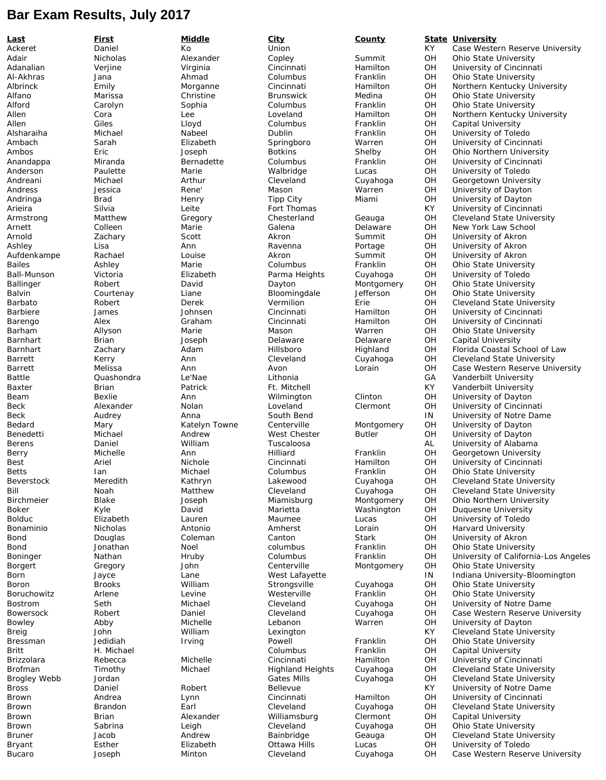## **Bar Exam Results, July 2017**

**Last First Middle City County State University** Ackeret Daniel Ko Union KY Case Western Reserve University Adair Nicholas Alexander Copley Summit OH Ohio State University Adanalian Verjine Virginia Cincinnati Hamilton OH University of Cincinnati Al-Akhras Jana Ahmad Columbus Franklin OH Ohio State University Albrinck Emily Morganne Cincinnati Hamilton OH Northern Kentucky University Alfano Marissa Christine Brunswick Medina OH Ohio State University Alford Carolyn Sophia Columbus Franklin OH Ohio State University Northern Kentucky University Allen Giles Lloyd Columbus Franklin OH Capital University Alsharaiha Michael Nabeel Dublin Franklin OH University of Toledo Ambach Sarah Elizabeth Springboro Warren OH University of Cincinnati Ambos Eric Joseph Botkins Shelby OH Ohio Northern University University of Cincinnati Anderson Paulette Marie Walbridge Lucas OH University of Toledo Andreani Michael Arthur Cleveland Cuyahoga OH Georgetown University Andress **Solution Andress** Jessica **Nene'** Rene' Mason Warren OH University of Dayton Andringa Brad Henry Tipp City Miami OH University of Dayton Arieira Silvia Leite Fort Thomas KY University of Cincinnati Armstrong Matthew Gregory Chesterland Geauga OH Cleveland State University Arnett Colleen Marie Galena Delaware OH New York Law School Arnold Zachary Scott Akron Summit OH University of Akron Ashley Lisa Ann Ravenna Portage OH University of Akron Aufdenkampe Rachael Louise Akron Summit OH University of Akron Louise<br>Bailes Ashley Marie Columbus Franklin OH Ohio State Universit Bailes Ashley Marie Columbus Franklin OH Ohio State University Ball-Munson Victoria Elizabeth Parma Heights Cuyahoga OH University of Toledo Ballinger Robert David Dayton Montgomery OH Ohio State University Balvin Courtenay Liane Bloomingdale Jefferson OH Ohio State University Barbato Robert Derek Vermilion Erie OH Cleveland State University Cincinnati Hamilton OH University of Cincinnati<br>Cincinnati Hamilton OH University of Cincinnati Barengo Alex Graham Cincinnati Hamilton OH University of Cincinnati Barham Allyson Marie Mason Warren OH Ohio State University Barnhart Brian Joseph Delaware Delaware OH Capital University Barnhart Zachary Adam Hillsboro Highland OH Florida Coastal School of Law Barrett Kerry Ann Cleveland Cuyahoga OH Cleveland State University Barrett Melissa Ann Avon Lorain OH Case Western Reserve University Battle Quashondra Le'Nae Lithonia GA Vanderbilt University Baxter **Brian** Brian Patrick Ft. Mitchell **Ft. Mitchell KY** Vanderbilt University Beam Bexlie Ann Wilmington Clinton OH University of Dayton Beck Alexander Nolan Loveland Clermont OH University of Cincinnati Beck Audrey Anna South Bend IN University of Notre Dame Bedard Mary Mary Katelyn Towne Centerville Montgomery OH University of Dayton<br>Benedetti Michael Montrew West Chester Butler OH University of Dayton Benedetti Michael Andrew West Chester Butler OH University of Dayton Berens Daniel William Tuscaloosa AL University of Alabama Georgetown University Best Ariel Nichole Cincinnati Hamilton OH University of Cincinnati Betts **Ian** Michael Columbus Franklin OH Ohio State University Beverstock Meredith Kathryn Lakewood Cuyahoga OH Cleveland State University Bill **State Matthew Cleveland Cuyahoga** OH Cleveland State University Birchmeier and Blake School Joseph Miamisburg Montgomery OH Ohio Northern University Boker **Kyle Conserversity** David Marietta Mashington OH Duquesne University Bolduc Elizabeth Lauren Maumee Lucas OH University of Toledo Bonaminio Nicholas Antonio Amherst Lorain OH Harvard University Bond **Douglas** Coleman Canton Stark OH University of Akron Bond 30nathan 100 Noel Columbus Franklin OH Ohio State University Boninger **Nathan Hruby Columbus** Franklin OH University of California-Los Angeles Borgert Gregory John Centerville Montgomery OH Ohio State University Born Jayce Lane West Lafayette IN Indiana University-Bloomington Boron Brooks William Strongsville Cuyahoga OH Ohio State University Boruchowitz Arlene Levine Westerville Franklin OH Ohio State University OH University of Notre Dame<br>OH Case Western Reserve Un Bowersock Robert Daniel Cleveland Cuyahoga OH Case Western Reserve University Bowley Abby Michelle Lebanon Warren OH University of Dayton Breig John William Lexington KY Cleveland State University Bressman Jedidiah Irving Powell Franklin OH Ohio State University Britt The Michael Columbus Franklin OH Capital University Brizzolara Rebecca Michelle Cincinnati Hamilton OH University of Cincinnati<br>Brofman Timothy Michael Highland Heights Cuyahoga OH Cleveland State Univers Brofman Timothy Michael Highland Heights Cuyahoga OH Cleveland State University Brogley Webb Jordan Gates Mills Cuyahoga OH Cleveland State University Bross Daniel Robert Bellevue KY University of Notre Dame Lynn Cincinnati Hamilton OH University of Cincinnati Brown Brandon Earl Cleveland Cuyahoga OH Cleveland State University Alexander Milliamsburg Clermont OH Capital University<br>
Leigh Cleveland Cuyahoga OH Ohio State Univer Brown Sabrina Leigh Cleveland Cuyahoga OH Ohio State University Bruner Jacob Andrew Bainbridge Geauga OH Cleveland State University Esther **Elizabeth** Ottawa Hills Lucas OH University of Toledo Bucaro Joseph Minton Cleveland Cuyahoga OH Case Western Reserve University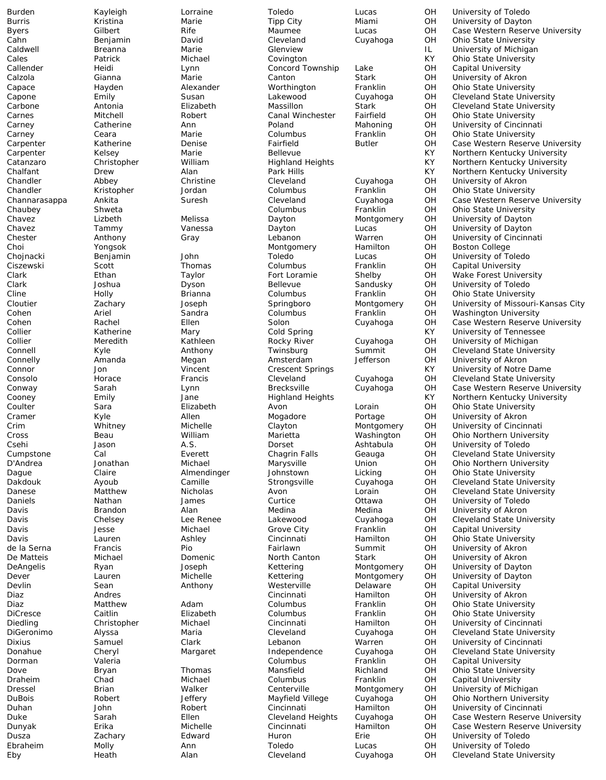Callender Heidi Lynn Concord Township Lake OH Capital University

Burden Kayleigh Lorraine Toledo Lucas OH University of Toledo Burris Kristina Marie Tipp City Miami OH University of Dayton Byers Gilbert Rife Maumee Lucas OH Case Western Reserve University Cahn Benjamin David Cleveland Cuyahoga OH Ohio State University University of Michigan Cales Patrick Michael Covington KY Ohio State University Calzola Gianna Marie Canton Stark OH University of Akron Capace Hayden Alexander Worthington Franklin OH Ohio State University Capone Emily Susan Lakewood Cuyahoga OH Cleveland State University Carbone Antonia Elizabeth Massillon Stark OH Cleveland State University Carnes Mitchell Robert Canal Winchester Fairfield OH Ohio State University<br>Carney Catherine Ann Poland Mahoning OH University of Cincinna OH University of Cincinnati<br>OH Ohio State University Carney Ceara Marie Columbus Franklin OH Ohio State University Carpenter **Solution Carpenter** Katherine Denise Fairfield Butler OH Case Western Reserve University<br>Carpenter Kelsey Marie Bellevue Bellevue KY Northern Kentucky University Carpenter Kelsey Marie Bellevue Bellevue Carpenter KY Northern Kentucky University<br>Catanzaro Christopher William Highland Heights KY Northern Kentucky University Catanzaro Christopher Milliam Highland Heights KY Northern Kentucky University<br>Chalfant Drew Alan Park Hills (KY Northern Kentucky University Northern Kentucky University Chandler Abbey Christine Cleveland Cuyahoga OH University of Akron Chandler Kristopher Jordan Columbus Franklin OH Ohio State University Channarasappa Ankita Suresh Cleveland Cuyahoga OH Case Western Reserve University Chaubey Shweta Columbus Franklin OH Ohio State University Montgomery OH University of Dayton Chavez Tammy Vanessa Dayton Lucas OH University of Dayton Chester Anthony Gray Lebanon Warren OH University of Cincinnati Choi Yongsok Montgomery Hamilton OH Boston College Chojnacki Benjamin John Toledo Lucas OH University of Toledo Ciszewski Scott Thomas Columbus Franklin OH Capital University Clark Ethan Taylor Fort Loramie Shelby OH Wake Forest University Clark Joshua Dyson Bellevue Sandusky OH University of Toledo Cline Holly Brianna Columbus Franklin OH Ohio State University Cloutier Zachary Joseph Springboro Montgomery OH University of Missouri-Kansas City Cohen Ariel Sandra Columbus Franklin OH Washington University Cohen Rachel Ellen Solon Cuyahoga OH Case Western Reserve University Collier Katherine Mary Cold Spring KY University of Tennessee Collier **1. Meredith** Meredith Kathleen Rocky River Cuyahoga OH University of Michigan<br>Connell 1990 Kyle Monthony Twinsburg Summit OH Cleveland State Univer Connell Kyle Anthony Twinsburg Summit OH Cleveland State University Connelly Amanda Megan Amsterdam Jefferson OH University of Akron KY University of Notre Dame<br>Cuyahoga OH Cleveland State Universit Consolo Horace Francis Cleveland Cuyahoga OH Cleveland State University Conway Sarah Lynn Brecksville Cuyahoga OH Case Western Reserve University Cooney Emily Jane Highland Heights KY Northern Kentucky University Coulter Sara Elizabeth Avon Lorain OH Ohio State University Cramer Kyle Allen Mogadore Portage OH University of Akron Crim Whitney Michelle Clayton Montgomery OH University of Cincinnati Cross Beau William Marietta Washington OH Ohio Northern University Csehi Jason A.S. Dorset Ashtabula OH University of Toledo Cumpstone Cal Everett Chagrin Falls Geauga OH Cleveland State University Ohio Northern University Dague Claire Almendinger Johnstown Licking OH Ohio State University Dakdouk Ayoub Camille Strongsville Cuyahoga OH Cleveland State University Danese Matthew Nicholas Avon Lorain OH Cleveland State University Daniels Nathan James Curtice Ottawa OH University of Toledo Davis Brandon Alan Medina Medina OH University of Akron Davis Chelsey Lee Renee Lakewood Cuyahoga OH Cleveland State University Davis Jesse Michael Grove City Franklin OH Capital University **Ohio State University** de la Serna Francis Pio Fairlawn Summit OH University of Akron De Matteis Michael Domenic North Canton Stark OH University of Akron DeAngelis Ryan Byan Joseph Kettering Montgomery OH University of Dayton Dever Lauren Michelle Kettering Montgomery OH University of Dayton Devlin Sean Anthony Westerville Delaware OH Capital University Diaz **Andres** Andres **Cincinnati** Hamilton OH University of Akron Diaz Matthew Adam Columbus Franklin OH Ohio State University Ohio State University Diedling Christopher Michael Cincinnati Hamilton OH University of Cincinnati DiGeronimo Alyssa Maria Cleveland Cuyahoga OH Cleveland State University Dixius Samuel Clark Lebanon Warren OH University of Cincinnati Donahue Cheryl Margaret Independence Cuyahoga OH Cleveland State University Dorman Valeria Columbus Franklin OH Capital University Dove Bryan Thomas Mansfield Richland OH Ohio State University Draheim Chad Michael Columbus Franklin OH Capital University Dressel Brian Walker Centerville Montgomery OH University of Michigan DuBois Robert Jeffery Mayfield Villege Cuyahoga OH Ohio Northern University Duhan John Robert Cincinnati Hamilton OH University of Cincinnati Duke Sarah Ellen Cleveland Heights Cuyahoga OH Case Western Reserve University Dunyak Erika Michelle Cincinnati Hamilton OH Case Western Reserve University Dusza Zachary Edward Huron Erie OH University of Toledo Ebraheim Molly Molly Ann Mollann Toledo Lucas OH University of Toledo<br>Eby Heath Meath Alan Cleveland Cuyahoga OH Cleveland State Univ Cuyahoga OH Cleveland State University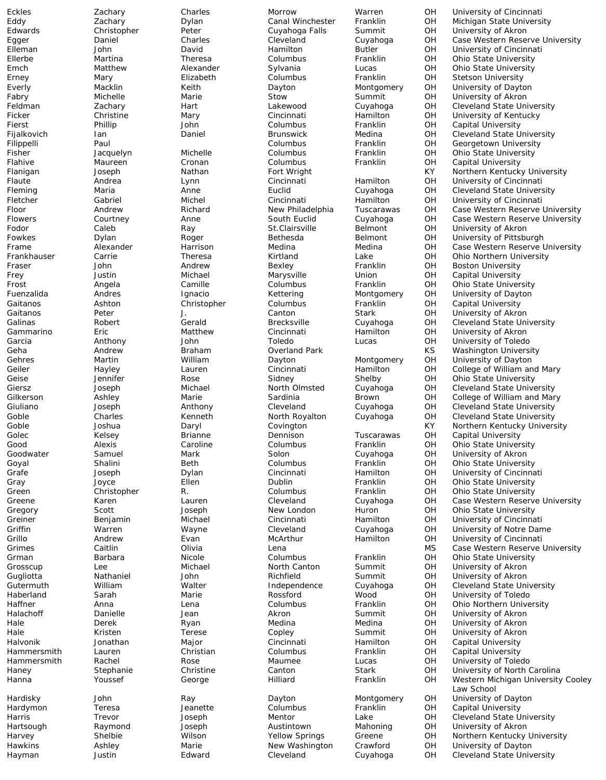Eckles Zachary Charles Morrow Warren OH University of Cincinnati Eddy Zachary Dylan Canal Winchester Franklin OH Michigan State University Eduard Christopher Peter Cuyahoga Falls Summit OH University of Akron<br>
Daniel Charles Charles Cleveland Cuyahoga OH Case Western Reserve Egger Daniel Charles Cleveland Cuyahoga OH Case Western Reserve University Eutler The OH University of Cincinnating Author<br>Franklin CH Ohio State University Ellerbe Martina Theresa Columbus Franklin OH Ohio State University Alexander Sylvania Lucas OH Ohio State University<br>
Elizabeth Columbus Franklin OH Stetson University Erney Mary Elizabeth Columbus Franklin OH Stetson University Everly Macklin Keith Dayton Montgomery OH University of Dayton Fabry Michelle Marie Stow Summit OH University of Akron Feldman Zachary Hart Lakewood Cuyahoga OH Cleveland State University Ficker Christine Mary Cincinnati Hamilton OH University of Kentucky Franklin CH Capital University<br>1991 Medina DH Cleveland State U Fijalkovich Ian Daniel Brunswick Medina OH Cleveland State University<br>Filippelli Paul Paul Columbus Columbus Franklin OH Georgetown University Paul Columbus Franklin OH Georgetown University<br>
Franklin OH Ohio State University<br>
Pacquelyn Michelle Columbus Franklin OH Ohio State University Fisher Jacquelyn Michelle Columbus Franklin OH Ohio State University Flahive Maureen Cronan Columbus Franklin OH Capital University<br>Flanigan Joseph Nathan Fort Wright KY Northern Kentuck Northern Kentucky University Flaute **Andrea** Lynn Cincinnati Hamilton OH University of Cincinnati Fleming Maria Anne Euclid Cuyahoga OH Cleveland State University Fletcher Gabriel Michel Cincinnati Hamilton OH University of Cincinnati Floor Andrew Richard New Philadelphia Tuscarawas OH Case Western Reserve University Courtney **Anne** South Euclid Cuyahoga OH Case Western Reserve University Fodor Caleb Ray St.Clairsville Belmont OH University of Akron Fowkes **South Dylan** Boger Bethesda Belmont OH University of Pittsburgh Frame **Alexander** Harrison Medina Medina OH Case Western Reserve University Frankhauser Carrie Theresa Kirtland Lake OH Ohio Northern University<br>Fraser John Andrew Bexley Franklin OH Boston University Fraser John Andrew Bexley Franklin OH Boston University Frey **South American Contract Marysville** Marysville Union OH Capital University Frost Angela Camille Columbus Franklin OH Ohio State University University of Dayton Gaitanos Ashton Christopher Columbus Franklin OH Capital University Gaitanos Peter J. Canton Stark OH University of Akron Galinas Robert Gerald Brecksville Cuyahoga OH Cleveland State University Gammarino Eric Matthew Cincinnati Hamilton OH University of Akron Garcia Anthony John Toledo Lucas OH University of Toledo Geha Andrew Braham Overland Park KS Washington University Gehres Martin William Dayton Montgomery OH University of Dayton Lauren Cincinnati Hamilton OH College of William and Mary<br>
Rose Sidney Shelby OH Ohio State University Geise Jennifer Rose Sidney Shelby OH Ohio State University Giersz Joseph Michael North Olmsted Cuyahoga OH Cleveland State University Gilkerson Ashley Marie Sardinia Brown OH College of William and Mary Giuliano Joseph Anthony Cleveland Cuyahoga OH Cleveland State University Goble Charles Kenneth North Royalton Cuyahoga OH Cleveland State University Goble Joshua Daryl Covington KY Northern Kentucky University Golec Kelsey Brianne Dennison Tuscarawas OH Capital University Good Alexis Caroline Columbus Franklin OH Ohio State University Goodwater Samuel Mark Solon Cuyahoga OH University of Akron **Ohio State University** Grafe Joseph Dylan Cincinnati Hamilton OH University of Cincinnati Gray **South American Contract Club Contract Club** Cray Cranklin OH Ohio State University Green Christopher R. Columbus Franklin OH Ohio State University Greene Karen Lauren Cleveland Cuyahoga OH Case Western Reserve University Gregory Scott Joseph New London Huron OH Ohio State University University of Cincinnati Griffin Warren Wayne Cleveland Cuyahoga OH University of Notre Dame University of Cincinnati Grimes Caitlin Olivia Lena MS Case Western Reserve University Grman Barbara Nicole Columbus Franklin OH Ohio State University Grosscup Lee Michael North Canton Summit OH University of Akron Gugliotta Nathaniel John Richfield Summit OH University of Akron Gutermuth William Walter Independence Cuyahoga OH Cleveland State University Sarah Marie Rossford Wood OH University of Toledo Haffner Anna Lena Columbus Franklin OH Ohio Northern University University of Akron Hale Derek Ryan Medina Medina OH University of Akron Hale **Kristen Terese** Copley Summit OH University of Akron Halvonik Jonathan Major Cincinnati Hamilton OH Capital University Hammersmith Lauren Christian Columbus Franklin OH Capital University<br>Hammersmith Rachel Rose Maumee Lucas OH University of Tole Hammersmith Rachel Rose Maumee Lucas OH University of Toledo Haney Stephanie Christine Canton Stark OH University of North Carolina Western Michigan University Cooley Law School Hardisky **South John Case Adden** Ray **Contains Dayton** Montgomery OH University of Dayton Hardymon Teresa Jeanette Columbus Franklin OH Capital University Harris Trevor Joseph Mentor Lake OH Cleveland State University Hartsough Raymond Joseph Austintown Mahoning OH University of Akron Harvey Shelbie Wilson Yellow Springs Greene OH Northern Kentucky University Hawkins Ashley Marie New Washington Crawford OH University of Dayton Hayman Justin Edward Cleveland Cuyahoga OH Cleveland State University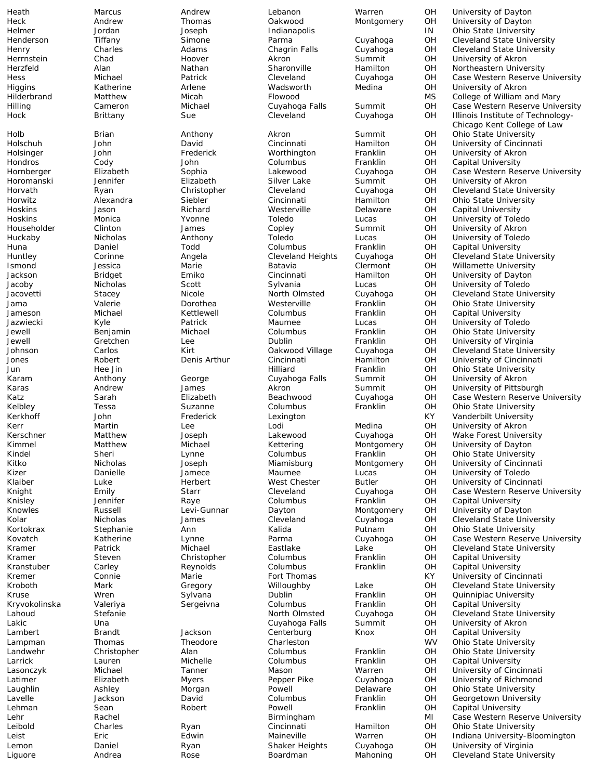Heath Marcus Andrew Lebanon Warren OH University of Dayton Heck Andrew Thomas Oakwood Montgomery OH University of Dayton Helmer Jordan Joseph Indianapolis IN Ohio State University Henderson Tiffany Simone Parma Cuyahoga OH Cleveland State University<br>Henry Charles Adams Chaqrin Falls Cuyahoga OH Cleveland State University Cleveland State University Herrnstein Chad Hoover Akron Summit OH University of Akron Herzfeld Alan Nathan Sharonville Hamilton OH Northeastern University Hess Michael Patrick Cleveland Cuyahoga OH Case Western Reserve University Higgins Katherine Arlene Wadsworth Medina OH University of Akron Hilderbrand Matthew Micah Flowood MS College of William and Mary<br>Hilling Cameron Michael Cuyahoga Falls Summit OH Case Western Reserve Unive Michael Cuyahoga Falls Summit OH Case Western Reserve University<br>Sue Cleveland Cuyahoga OH Illinois Institute of Technology-Hock Brittany Sue Cleveland Cuyahoga OH Illinois Institute of Technology-Chicago Kent College of Law Holb Brian Anthony Akron Summit OH Ohio State University Holschuh John David Cincinnati Hamilton OH University of Cincinnati<br>Holsinger John Frederick Worthington Franklin OH University of Akron Holsinger John Frederick Worthington Franklin OH University of Akron Hondros Cody John Columbus Franklin OH Capital University Case Western Reserve University Horomanski Jennifer Elizabeth Silver Lake Summit OH University of Akron Horvath Ryan Christopher Cleveland Cuyahoga OH Cleveland State University Horwitz Alexandra Siebler Cincinnati Hamilton OH Ohio State University Hoskins Jason Richard Westerville Delaware OH Capital University Toledo **Lucas** OH University of Toledo Householder Clinton James Copley Summit OH University of Akron Huckaby Nicholas Anthony Toledo Lucas OH University of Toledo Huna Daniel Todd Columbus Franklin OH Capital University Huntley Corinne Angela Cleveland Heights Cuyahoga OH Cleveland State University Ismond Jessica Marie Batavia Clermont OH Willamette University Bridget Emiko Cincinnati Hamilton OH University of Dayton Jacoby Nicholas Scott Sylvania Lucas OH University of Toledo Cleveland State University Jama Valerie Dorothea Westerville Franklin OH Ohio State University Jameson Michael Kettlewell Columbus Franklin OH Capital University Jazwiecki Kyle Patrick Maumee Lucas OH University of Toledo Jewell Benjamin Michael Columbus Franklin OH Ohio State University Jewell Gretchen Lee Dublin Franklin OH University of Virginia Johnson Carlos Kirt Oakwood Village Cuyahoga OH Cleveland State University Jones Robert Denis Arthur Cincinnati Hamilton OH University of Cincinnati Hilliard Franklin OH Ohio State University<br>Cuyahoga Falls Summit OH University of Akron Karam Anthony George Cuyahoga Falls Summit OH University of Akron Andrew James Akron Summit OH University of Pittsburgh James Akron Summit OH University of Pittsburgh Case Western Reserve L Katz Sarah Elizabeth Beachwood Cuyahoga OH Case Western Reserve University Kelbley Tessa Suzanne Columbus Franklin OH Ohio State University Kerkhoff John Frederick Lexington KY Vanderbilt University OH University of Akron<br>OH Wake Forest Univer Kerschner Matthew Joseph Lakewood Cuyahoga OH Wake Forest University<br>
Kimmel Matthew Michael Kettering Montgomery OH University of Dayton Kimmel Matthew Michael Kettering Montgomery OH University of Dayton Kindel Sheri Lynne Columbus Franklin OH Ohio State University University of Cincinnati Kizer Danielle Jamece Maumee Lucas OH University of Toledo Klaiber **Luke** Herbert West Chester Butler OH University of Cincinnati Knight **Emily** Emily Starr Cleveland Cuyahoga OH Case Western Reserve University Knisley Jennifer Raye Columbus Franklin OH Capital University Knowles Russell Levi-Gunnar Dayton Montgomery OH University of Dayton Kolar **Micholas** James Cleveland Cuyahoga OH Cleveland State University Kortokrax Stephanie Ann Kalida Putnam OH Ohio State University Case Western Reserve University Kramer Patrick Michael Eastlake Lake OH Cleveland State University Kramer Steven Christopher Columbus Franklin OH Capital University Kranstuber Carley **Carley Reynolds** Columbus Franklin OH Capital University Kremer Connie Marie Fort Thomas KY University of Cincinnati Kroboth Mark Gregory Willoughby Lake OH Cleveland State University Kruse Wren Sylvana Dublin Franklin OH Quinnipiac University Kryvokolinska Valeriya Sergeivna Columbus Franklin OH Capital University<br>Lahoud Stefanie Stefanie North Olmsted Cuyahoga OH Cleveland State U Cleveland State University Lakic Una Cuyahoga Falls Summit OH University of Akron Lambert **Brandt Jackson** Centerburg Knox OH Capital University Lampman Thomas Theodore Charleston Tranklin WV Ohio State University<br>Charleston Charleston Columbus Franklin OH Ohio State University Landwehr Christopher Alan Columbus Franklin OH Ohio State University Larrick Lauren Michelle Columbus Franklin OH Capital University Lasonczyk Michael Tanner Mason Warren OH University of Cincinnati Latimer **Elizabeth Myers** Pepper Pike Cuyahoga OH University of Richmond<br>
Laughlin Ashley Morgan Powell Delaware OH Ohio State University **Ohio State University** Lavelle Jackson David Columbus Franklin OH Georgetown University Lehman Sean Robert Powell Franklin OH Capital University Lehr **Rachel Birmingham Birmingham** MI Case Western Reserve University Leibold Charles Ryan Cincinnati Hamilton OH Ohio State University Leist Eric Edwin Maineville Warren OH Indiana University-Bloomington Lemon Daniel Ryan Shaker Heights Cuyahoga OH University of Virginia Rose **Boardman** Mahoning OH Cleveland State University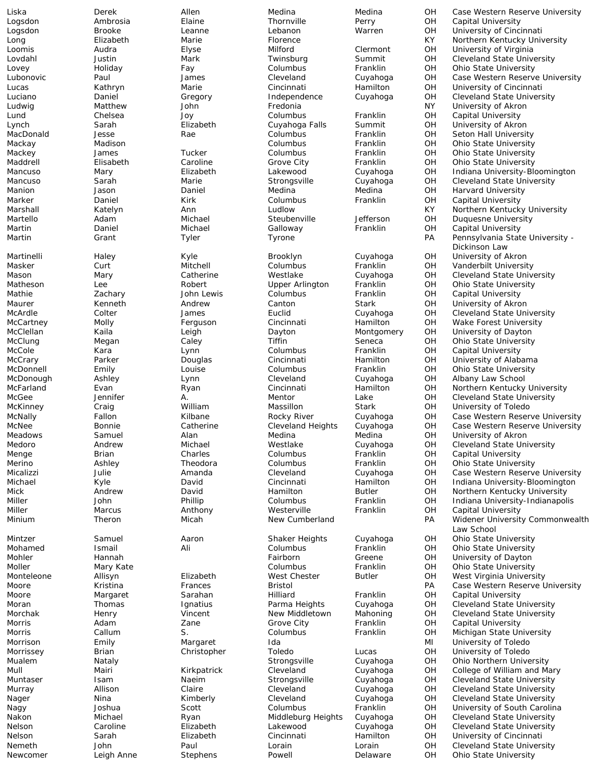Logsdon Ambrosia Elaine Thornville Perry OH Capital University<br>Logsdon Brooke Leanne Lebanon Warren OH University of Cinci Ludwig University of Akron (John National Columbus Number of Akron National Columbus School French National Or<br>
Ludwig Matham School (John National Premiersity National Premiersity National Premiersity National Premiersit<br> Lund Chelsea Joy Columbus Franklin OH Capital University Manion Jason Daniel Medina Medina OH Harvard University Marker **Example 1 Columbus** Columbus Franklin OH Capital University Martin Daniel Michael Galloway Franklin OH Capital University<br>Martin Grant Tyler Tyrone Franklin PA Pennsylvania Stat Martinelli Haley Kyle Brooklyn Cuyahoga OH University of Akron Maurer Kenneth Andrew Canton Stark OH University of Akron McCole Kara Lynn Columbus Franklin OH Capital University McDonough Ashley Lynn Cleveland Cuyahoga OH Albany Law School Meadows Samuel Alan Medina Medina OH University of Akron Menge Brian Charles Columbus Franklin OH Capital University Miller Marcus Anthony Westerville Franklin OH Capital University Moore **Margaret** Sarahan Hilliard Franklin OH Capital University Morris Adam Zane Grove City Franklin OH Capital University

Liska Derek Allen Medina Medina OH Case Western Reserve University Logsdon Brooke Leanne Lebanon Warren OH University of Cincinnati Long Elizabeth Marie Florence KY Northern Kentucky University OH University of Virginia<br>OH Cleveland State Unive Lovdahl Justin Mark Twinsburg Summit OH Cleveland State University Lovey Holiday Fay Columbus Franklin OH Ohio State University Lubonovic Paul James Cleveland Cuyahoga OH Case Western Reserve University Lucas Kathryn Marie Cincinnati Hamilton OH University of Cincinnati Luciano Daniel Gregory Independence Cuyahoga OH Cleveland State University Summit OH University of Akron<br>Franklin OH Seton Hall University MacDonald Jesse Rae Columbus Franklin OH Seton Hall University Mackay Madison Columbus Franklin OH Ohio State University Mackey James Tucker Columbus Franklin OH Ohio State University Maddrell Elisabeth Caroline Grove City Franklin OH Ohio State University Indiana University-Bloomington Mancuso Sarah Marie Strongsville Cuyahoga OH Cleveland State University Marshall Katelyn Ann Ludlow KY Northern Kentucky University Adam Michael Steubenville Jefferson OH Duquesne University<br>
Daniel Michael Galloway Franklin OH Capital University Martin Grant Tyler Tyrone PA Pennsylvania State University - Dickinson Law Masker Curt Mitchell Columbus Franklin OH Vanderbilt University Mason Mary Catherine Westlake Cuyahoga OH Cleveland State University Matheson Lee Robert Upper Arlington Franklin OH Ohio State University Capital University McArdle Colter James Euclid Cuyahoga OH Cleveland State University McCartney Molly Ferguson Cincinnati Hamilton OH Wake Forest University McClellan Kaila Leigh Dayton Montgomery OH University of Dayton McClung Megan Caley Tiffin Seneca OH Ohio State University McCrary Parker Douglas Cincinnati Hamilton OH University of Alabama McDonnell Emily Louise Columbus Franklin OH Ohio State University McFarland Evan Ryan Cincinnati Hamilton OH Northern Kentucky University McGee Jennifer A. Mentor Lake OH Cleveland State University McKinney Craig William Massillon Stark OH University of Toledo McNally Fallon Kilbane Rocky River Cuyahoga OH Case Western Reserve University McNee Bonnie Catherine Cleveland Heights Cuyahoga OH Case Western Reserve University Medoro Andrew Michael Westlake Cuyahoga OH Cleveland State University Ashley Theodora Columbus Franklin OH Ohio State University Micalizzi Julie Amanda Cleveland Cuyahoga OH Case Western Reserve University Michael Kyle David Cincinnati Hamilton OH Indiana University-Bloomington Mick **Andrew David Hamilton Butler OH Northern Kentucky University** Miller John Phillip Columbus Franklin OH Indiana University-Indianapolis Minium Theron Micah New Cumberland PA Widener University Commonwealth Law School Mintzer Samuel Aaron Shaker Heights Cuyahoga OH Ohio State University Mohamed Ismail Ali Ali Columbus Franklin OH Ohio State University<br>19 Mohler Mohler Hannah Mohler Starter Columbus Creene OH University of Dayton Greene **OH** University of Dayton<br>Franklin OH Ohio State University Moller **Mary Kate** Mary Kate **Columbus** Columbus Franklin OH Ohio State University Monteleone Allisyn Elizabeth West Chester Butler OH West Virginia University Moore Kristina Frances Bristol PA Case Western Reserve University Moran Thomas Ignatius Parma Heights Cuyahoga OH Cleveland State University Cleveland State University Morris Callum S. Columbus Franklin OH Michigan State University Morrison **Emily** Margaret Ida **Ida MI University of Toledo** Morrissey Brian Christopher Toledo Lucas OH University of Toledo Mualem Nataly Strongsville Cuyahoga OH Ohio Northern University Mull Mairi Kirkpatrick Cleveland Cuyahoga OH College of William and Mary Muntaser Isam Naeim Strongsville Cuyahoga OH Cleveland State University Cleveland Cuyahoga OH Cleveland State University<br>Cleveland Cuyahoga OH Cleveland State University Nager **Nina** Kimberly Cleveland Cuyahoga OH Cleveland State University Nagy **Scott** Scott Columbus Franklin OH University of South Carolina Columbus Columbus Nakon Michael Ryan Middleburg Heights Cuyahoga OH Cleveland State University Nelson Caroline Elizabeth Lakewood Cuyahoga OH Cleveland State University Nelson Sarah Elizabeth Cincinnati Hamilton OH University of Cincinnati Nemeth John Paul Lorain Lorain OH Cleveland State University Newcomer Leigh Anne Stephens Powell Delaware OH Ohio State University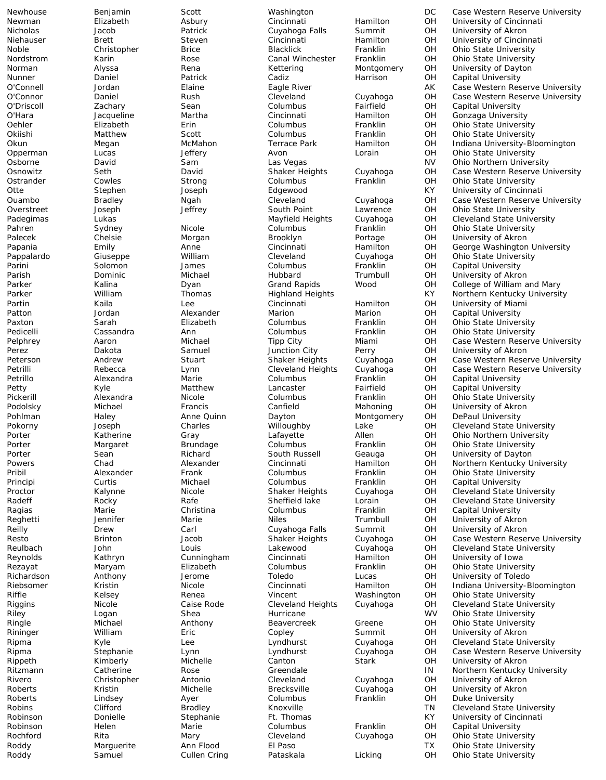Newhouse Benjamin Scott Washington DC Case Western Reserve University<br>Newman Elizabeth Asbury Cincinnati Hamilton OH University of Cincinnati Newman Elizabeth Asbury Cincinnati Hamilton OH University of Cincinnati Elizabeth Asbury Cuvahoga Falls Summit OH University of Akron Nicholas Jacob Patrick Cuyahoga Falls Summit OH University of Akron Niehauser Brett Brett Steven Cincinnati Hamilton OH University of Cincinnati<br>Noble Christopher Brice Blacklick Franklin OH Ohio State University Nacklick Franklin OH Ohio State University<br>Canal Winchester Franklin OH Ohio State University Nordstrom Karin Rose Canal Winchester Franklin OH Ohio State University Norman Alyssa Rena Kettering Montgomery OH University of Dayton Nunner Daniel Patrick Cadiz Harrison OH Capital University<br>C'Connell Jordan Elaine Eagle River AK Case Western Res O'Connell Jordan Elaine Eagle River AK Case Western Reserve University O'Connor Daniel Rush Cleveland Cuyahoga OH Case Western Reserve University O'Driscoll Zachary Sean Columbus Fairfield OH Capital University O'Hara Jacqueline Martha Cincinnati Hamilton OH Gonzaga University Oehler Elizabeth Erin Columbus Franklin OH Ohio State University Okiishi Matthew Scott Columbus Franklin OH Ohio State University<br>Okun Megan McMahon Terrace Park Hamilton OH Indiana University-Bl Okun Megan McMahon Terrace Park Hamilton OH Indiana University-Bloomington<br>Opperman Lucas Jeffery Avon Lorain OH Ohio State University Opperman Lucas Jeffery Avon Lorain OH Ohio State University Osborne David Sam Las Vegas NV Ohio Northern University Case Western Reserve University Ostrander Cowles Strong Columbus Franklin OH Ohio State University Otte Stephen Joseph Edgewood KY University of Cincinnati Ouambo Bradley Ngah Cleveland Cuyahoga OH Case Western Reserve University Overstreet  $J$ oseph Jeffrey South Point Lawrence OH Ohio State University<br>Padegimas Lukas Lukas Mayfield Heights Cuyahoga OH Cleveland State Unive Padegimas Lukas Mayfield Heights Cuyahoga OH Cleveland State University Pahren Sydney Nicole Columbus Franklin OH Ohio State University Palecek Chelsie Morgan Brooklyn Portage OH University of Akron Papania **Emily Emily** Anne Cincinnati Hamilton OH George Washington University Pappalardo Giuseppe William Cleveland Cuyahoga OH Ohio State University Parini Solomon James Columbus Franklin OH Capital University University of Akron Parker Kalina Dyan Grand Rapids Wood OH College of William and Mary Northern Kentucky University Partin Kaila Lee Cincinnati Hamilton OH University of Miami Patton Jordan Alexander Marion Marion OH Capital University Paxton Sarah Elizabeth Columbus Franklin OH Ohio State University Pedicelli Cassandra Ann Columbus Franklin OH Ohio State University Pelphrey Aaron Michael Tipp City Miami OH Case Western Reserve University Perez Dakota Samuel Junction City Perry OH University of Akron Peterson Andrew Stuart Shaker Heights Cuyahoga OH Case Western Reserve University Petrilli Rebecta Cuyahoga Cleveland Heights Cuyahoga OH Case Western Reserve University<br>Columbus Franklin OH Capital University Petrillo Alexandra Marie Columbus Franklin OH Capital University Petty Kyle Matthew Lancaster Fairfield OH Capital University Pickerill Alexandra Nicole Columbus Franklin OH Ohio State University Podolsky Michael Francis Canfield Mahoning OH University of Akron Pohlman Haley Anne Quinn Dayton Montgomery OH DePaul University Pokorny Joseph Charles Willoughby Lake OH Cleveland State University Matherine Gray Corner Lafayette Allen OH Ohio Northern University<br>
Margaret Brundage Columbus Franklin OH Ohio State University Porter Margaret Brundage Columbus Franklin OH Ohio State University Porter Sean Richard South Russell Geauga OH University of Dayton Northern Kentucky University Pribil Alexander Frank Columbus Franklin OH Ohio State University Principi Curtis Michael Columbus Franklin OH Capital University Proctor Calynne Nicole Shaker Heights Cuyahoga OH Cleveland State University Radeff Rocky Rafe Sheffield lake Lorain OH Cleveland State University Ragias Marie Christina Columbus Franklin OH Capital University Reghetti Jennifer Marie Niles Trumbull OH University of Akron Reilly Drew Carl Cuyahoga Falls Summit OH University of Akron Case Western Reserve University Reulbach John Louis Lakewood Cuyahoga OH Cleveland State University<br>Reynolds Kathryn Cunningham Cincinnati Hamilton OH University of Iowa Reynolds Kathryn Cunningham Cincinnati Hamilton OH University of Iowa Rezayat Maryam Elizabeth Columbus Franklin OH Ohio State University Richardson Anthony Jerome Toledo Lucas OH University of Toledo Riebsomer Kristin Micole Cincinnati Hamilton OH Indiana University-Bloomington<br>Riffle Kelsey Renea Vincent Washington OH Ohio State University Riffle Kelsey Renea Vincent Washington OH Ohio State University Riggins Nicole Caise Rode Cleveland Heights Cuyahoga OH Cleveland State University Riley **Shea** Shea Hurricane The WV Ohio State University Logan Shea Hurricane Ringle Michael Anthony Beavercreek Greene OH Ohio State University Rininger William Eric Copley Summit OH University of Akron Ripma Kyle Lee Lyndhurst Cuyahoga OH Cleveland State University Ripma Stephanie Lynn Lyndhurst Cuyahoga OH Case Western Reserve University Rippeth Kimberly Michelle Canton Stark OH University of Akron Ritzmann Catherine Rose Greendale IN Northern Kentucky University<br>Rivero Christopher Antonio Cleveland Cuyahoga OH University of Akron Rivero Christopher Antonio Cleveland Cuyahoga OH University of Akron Roberts Kristin Michelle Michelle Brecksville Cuyahoga OH University of Akron<br>2 Columbus – Franklin OH Duke-University Currents Columbus Roberts **Example 20 Lindsey** Ayer Columbus Franklin OH Duke University Robins Clifford Bradley Knoxville The TN Cleveland State University Robinson **Donielle** Stephanie Ft. Thomas KY University of Cincinnati Robinson Helen Marie Columbus Franklin OH Capital University Rochford Rita Mary Cleveland Cuyahoga OH Ohio State University Roddy Marguerite Ann Flood El Paso TX Ohio State University Roddy **Samuel Cullen Cring** Pataskala Licking OH Ohio State University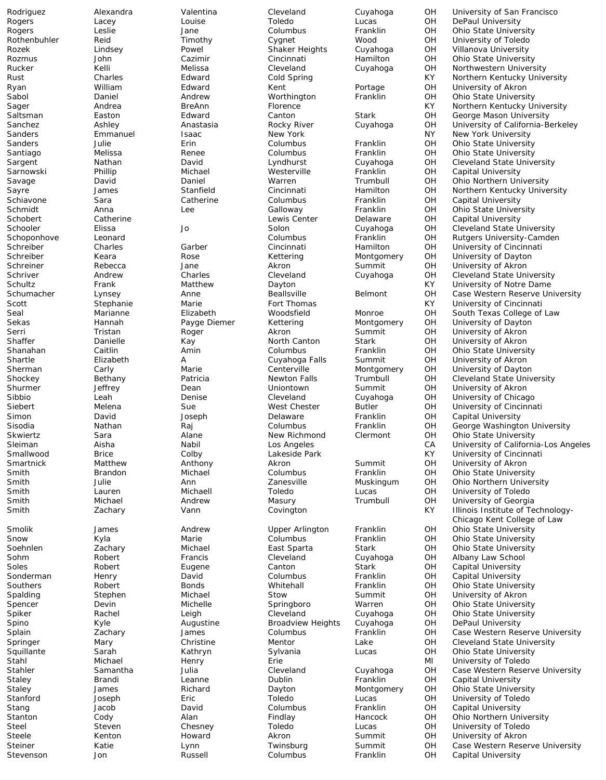Elizabeth

Rodriguez Alexandra Valentina Cleveland Cuyahoga OH University of San Francisco Rogers Lacey Louise Toledo Lucas OH DePaul University Rogers 
Resulte Leslie Jane Columbus Franklin OH Ohio State University<br>
Rothenbuhler Reid Timothy Cygnet Wood OH University of Toledo Rothenbuhler Reid Timothy Cygnet Wood OH University of Toledo Villanova University Rozmus John Cazimir Cincinnati Hamilton OH Ohio State University Rucker Kelli Melissa Cleveland Cuyahoga OH Northwestern University Rust Charles Edward Cold Spring KY Northern Kentucky University Ryan William Edward Kent Portage OH University of Akron Sabol Daniel Andrew Worthington Franklin OH Ohio State University Sager Andrea BreAnn Florence KY Northern Kentucky University Saltsman Easton Edward Canton Stark OH George Mason University OH University of California-Berkeley<br>NY New York University Sanders Emmanuel Isaac New York NY New York University Sanders Julie Erin Columbus Franklin OH Ohio State University Santiago Melissa Renee Columbus Franklin OH Ohio State University<br>Sargent Nathan David Lyndhurst Cuyahoga OH Cleveland State Unive Sargent Nathan David Lyndhurst Cuyahoga OH Cleveland State University Capital University Savage David Daniel Warren Trumbull OH Ohio Northern University Sayre James Stanfield Cincinnati Hamilton OH Northern Kentucky University Schiavone Sara Catherine Columbus Franklin OH Capital University Schmidt Anna Lee Galloway Franklin OH Ohio State University Capital University Schooler Elissa Jo Solon Cuyahoga OH Cleveland State University Schoponhove Leonard Columbus Franklin OH Rutgers University-Camden Schreiber Charles Garber Cincinnati Hamilton OH University of Cincinnati Schreiber Keara Rose Kettering Montgomery OH University of Dayton Schreiner Rebecca Jane Akron Summit OH University of Akron Schriver **Andrew Charles Cleveland Cuyahoga** OH Cleveland State University Schultz Frank Matthew Dayton KY University of Notre Dame Schumacher Lynsey **Anne** Beallsville Belmont OH Case Western Reserve University Scott Stephanie Marie Fort Thomas KY University of Cincinnati Seal Marianne Elizabeth Woodsfield Monroe OH South Texas College of Law Sekas Hannah Payge Diemer Kettering Montgomery OH University of Dayton Serri Tristan Roger Akron Summit OH University of Akron Shaffer Danielle Kay North Canton Stark OH University of Akron<br>Shanahan Caitlin Amin Columbus Franklin OH Ohio State Universi Shanahan Caitlin Amin Columbus Franklin OH Ohio State University A Cuyahoga Falls Summit OH University of Akron<br>Marie Centerville Montgomery OH University of Daytor Sherman Carly Marie Centerville Montgomery OH University of Dayton<br>Shockey Bethany Patricia Newton Falls Trumbull OH Cleveland State Univ Shockey Bethany Patricia Newton Falls Trumbull OH Cleveland State University Shurmer Jeffrey Dean Uniontown Summit OH University of Akron Sibbio Leah Denise Cleveland Cuyahoga OH University of Chicago Siebert Melena Sue West Chester Butler OH University of Cincinnati<br>Simon Survid Sue Delaware Franklin OH Capital University Simon David Joseph Delaware Franklin OH Capital University Sisodia Nathan Raj Columbus Franklin OH George Washington University Skwiertz Sara Alane New Richmond Clermont OH Ohio State University Sleiman Aisha Nabil Los Angeles CA University of California-Los Angeles Smallwood Brice Colby Lakeside Park KY University of Cincinnati<br>
Smartnick Matthew Anthony Akron Akron Summit OH University of Akron University of Akron Smith Brandon Michael Columbus Franklin OH Ohio State University Smith **Smith** Julie **Ann** Zanesville Muskingum OH Ohio Northern University Smith **Sulla Lauren** Lauren Michaell **Toledo Lucas** OH University of Toledo Smith Michael Andrew Masury Trumbull OH University of Georgia Smith **Subset Zachary Cann** Vann Covington Covington KY Illinois Institute of Technology-Chicago Kent College of Law Smolik James Andrew Upper Arlington Franklin OH Ohio State University **Ohio State University** Soehnlen Zachary Michael East Sparta Stark OH Ohio State University Robert **Francis** Cleveland Cuyahoga OH Albany Law School Soles **Robert** Eugene Canton Stark OH Capital University Sonderman Henry David Columbus Franklin OH Capital University Southers 
Southers 
Robert Bonds 
Whitehall Franklin OH Ohio State University<br>
Stephen 
Stephen 
Stow Summit OH University of Akron Stow Summit OH University of Akron Spencer Devin Michelle Springboro Warren OH Ohio State University Leigh Cleveland Cuyahoga OH Ohio State University Spino Kyle Augustine Broadview Heights Cuyahoga OH DePaul University Splain Zachary James Columbus Franklin OH Case Western Reserve University Springer Mary Mary Christine Mentor Lake OH Cleveland State University Squillante Sarah Kathryn Sylvania Lucas OH Ohio State University Stahl Michael Henry Erie MI University of Toledo Stahler Samantha Julia Cleveland Cuyahoga OH Case Western Reserve University Staley Brandi Leanne Dublin Franklin OH Capital University Ohio State University Stanford Joseph Eric Toledo Lucas OH University of Toledo Stang Jacob David Columbus Franklin OH Capital University Stanton Cody Cody Alan Findlay Hancock OH Ohio Northern University Steel Steven Chesney Toledo Lucas OH University of Toledo Steele **Kenton** Howard Akron Summit OH University of Akron Steiner Katie Lynn Twinsburg Summit OH Case Western Reserve University Stevenson Jon **Russell** Columbus Franklin OH Capital University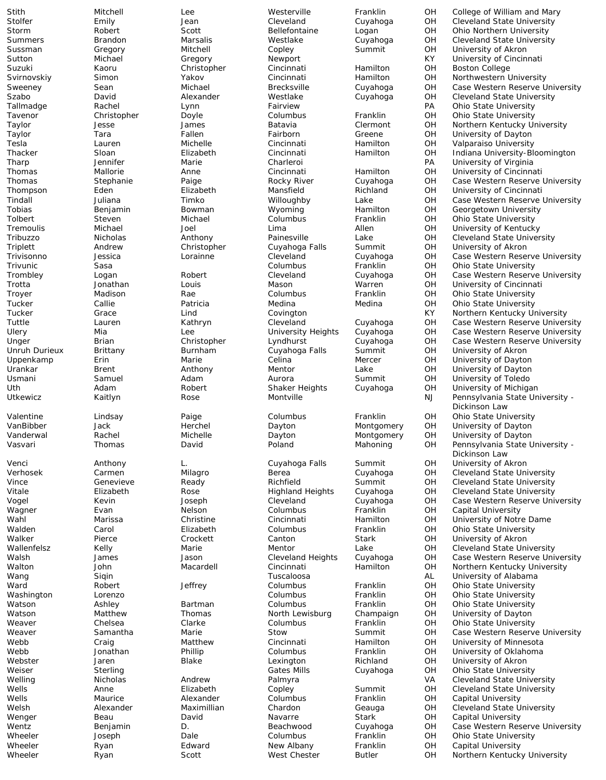Stith Mitchell Lee Westerville Franklin OH College of William and Mary<br>Stolfer Emily Stone Jean Cleveland Cuyahoga OH Cleveland State University Stolfer Emily Jean Cleveland Cuyahoga OH Cleveland State University Storm Robert Scott Bellefontaine Logan OH Ohio Northern University Summers Brandon Marsalis Westlake Cuyahoga OH Cleveland State University University of Akron Sutton Michael Gregory Newport KY University of Cincinnati Suzuki Kaoru Christopher Cincinnati Hamilton OH Boston College Svirnovskiy Simon Yakov Cincinnati Hamilton OH Northwestern University<br>Sweeney Sean Michael Brecksville Cuyahoga OH Case Western Reserve U Sweeney Sean Michael Brecksville Cuyahoga OH Case Western Reserve University Szabo David Alexander Westlake Cuyahoga OH Cleveland State University<br>Tallmadge Rachel Lynn Fairview Fairview PA Ohio State University Tallmadge Rachel Lynn Fairview PA Ohio State University Tavenor Christopher Doyle Columbus Franklin OH Ohio State University OH Northern Kentucky University<br>OH University of Dayton Taylor Tara Fallen Fairborn Greene OH University of Dayton Tesla Lauren Michelle Cincinnati Hamilton OH Valparaiso University Sloan Elizabeth Cincinnati Hamilton OH Indiana University-Bloomington<br>Jennifer Marie Charleroi PA University of Virginia Tharp Jennifer Marie Charleroi PA University of Virginia University of Cincinnati Thomas Stephanie Paige Rocky River Cuyahoga OH Case Western Reserve University Thompson Eden Elizabeth Mansfield Richland OH University of Cincinnati Juliana Timko Willoughby Lake OH Case Western Reserve University Tobias Benjamin Bowman Wyoming Hamilton OH Georgetown University **Ohio State University** Tremoulis Michael Joel Lima Allen OH University of Kentucky Tribuzzo Nicholas Anthony Painesville Lake OH Cleveland State University Triplett Andrew Christopher Cuyahoga Falls Summit OH University of Akron Trivisonno Jessica Lorainne Cleveland Cuyahoga OH Case Western Reserve University Trivunic Sasa Columbus Franklin OH Ohio State University Logan 
Robert Cleveland Cuyahoga OH Case Western Reserve University Trotta Jonathan Louis Mason Warren OH University of Cincinnati **Ohio State University** Tucker Callie Patricia Medina Medina OH Ohio State University Tucker Grace Lind Covington KY Northern Kentucky University Tuttle Lauren Kathryn Cleveland Cuyahoga OH Case Western Reserve University Ulery Mia Lee University Heights Cuyahoga OH Case Western Reserve University Unger Brian Christopher Lyndhurst Cuyahoga OH Case Western Reserve University Unruh Durieux Brittany Burnham Cuyahoga Falls Summit OH University of Akron<br>Uppenkamp Erin Brin Marie Celina Celina Mercer OH University of Daytor Uppenkamp Erin Marie Celina Mercer OH University of Dayton Urankar Brent Anthony Mentor Lake OH University of Dayton Usmani Samuel Adam Aurora Summit OH University of Toledo Uth Adam Robert Shaker Heights Cuyahoga OH University of Michigan Utkewicz Kaitlyn Rose Montville NJ Pennsylvania State University - Dickinson Law Valentine Lindsay Paige Columbus Franklin OH Ohio State University VanBibber Jack Herchel Dayton Montgomery OH University of Dayton Vanderwal Rachel Michelle Dayton Montgomery OH University of Dayton Vasvari Thomas David Poland Mahoning OH Pennsylvania State University -Dickinson Law Venci Anthony L. Cuyahoga Falls Summit OH University of Akron Verhosek Carmen Milagro Berea Cuyahoga OH Cleveland State University Genevieve Ready Richfield Summit OH Cleveland State University Vitale Elizabeth Rose Highland Heights Cuyahoga OH Cleveland State University Vogel Kevin Joseph Cleveland Cuyahoga OH Case Western Reserve University Wagner Evan Nelson Columbus Franklin OH Capital University Marissa Christine Cincinnati Hamilton OH University of Notre Dame Walden Carol Elizabeth Columbus Franklin OH Ohio State University University of Akron Wallenfelsz Kelly Marie Mentor Lake OH Cleveland State University Walsh James Jason Cleveland Heights Cuyahoga OH Case Western Reserve University Walton John Macardell Cincinnati Hamilton OH Northern Kentucky University Wang Siqin Tuscaloosa AL University of Alabama Ward Robert Jeffrey Columbus Franklin OH Ohio State University Lorenzo **Columbus** Columbus Franklin OH Ohio State University Watson Ashley Bartman Columbus Franklin OH Ohio State University University of Dayton Weaver Chelsea Clarke Columbus Franklin OH Ohio State University Weaver **Samantha** Marie Stow Summit OH Case Western Reserve University Webb Craig Matthew Cincinnati Hamilton OH University of Minnesota Webb Jonathan Phillip Columbus Franklin OH University of Oklahoma Webster Jaren Blake Lexington Richland OH University of Akron Weiser Sterling Gates Mills Cuyahoga OH Ohio State University Welling Micholas Micholas Andrew Palmyra Melling VA Cleveland State University<br>
Wells Anne Clizabeth Copley Summit OH Cleveland State University Cleveland State University Wells **Maurice** Alexander Columbus Franklin OH Capital University Welsh Alexander Maximillian Chardon Geauga OH Cleveland State University Wenger Beau Beau David Navarre Stark OH Capital University Wentz Benjamin D. Beachwood Cuyahoga OH Case Western Reserve University Wheeler **Solumbus** Joseph Dale **Dale** Columbus Franklin OH Ohio State University Wheeler Ryan Edward New Albany Franklin OH Capital University Ryan Scott West Chester Butler OH Northern Kentucky University